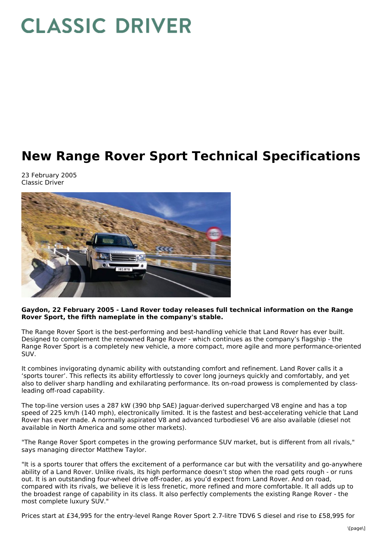# **CLASSIC DRIVER**

# **New Range Rover Sport Technical Specifications**

23 February 2005 Classic Driver



#### **Gaydon, 22 February 2005 - Land Rover today releases full technical information on the Range Rover Sport, the fifth nameplate in the company's stable.**

The Range Rover Sport is the best-performing and best-handling vehicle that Land Rover has ever built. Designed to complement the renowned Range Rover - which continues as the company's flagship - the Range Rover Sport is a completely new vehicle, a more compact, more agile and more performance-oriented SUV.

It combines invigorating dynamic ability with outstanding comfort and refinement. Land Rover calls it a 'sports tourer'. This reflects its ability effortlessly to cover long journeys quickly and comfortably, and yet also to deliver sharp handling and exhilarating performance. Its on-road prowess is complemented by classleading off-road capability.

The top-line version uses a 287 kW (390 bhp SAE) Jaguar-derived supercharged V8 engine and has a top speed of 225 km/h (140 mph), electronically limited. It is the fastest and best-accelerating vehicle that Land Rover has ever made. A normally aspirated V8 and advanced turbodiesel V6 are also available (diesel not available in North America and some other markets).

"The Range Rover Sport competes in the growing performance SUV market, but is different from all rivals," says managing director Matthew Taylor.

"It is a sports tourer that offers the excitement of a performance car but with the versatility and go-anywhere ability of a Land Rover. Unlike rivals, its high performance doesn't stop when the road gets rough - or runs out. It is an outstanding four-wheel drive off-roader, as you'd expect from Land Rover. And on road, compared with its rivals, we believe it is less frenetic, more refined and more comfortable. It all adds up to the broadest range of capability in its class. It also perfectly complements the existing Range Rover - the most complete luxury SUV."

Prices start at £34,995 for the entry-level Range Rover Sport 2.7-litre TDV6 S diesel and rise to £58,995 for